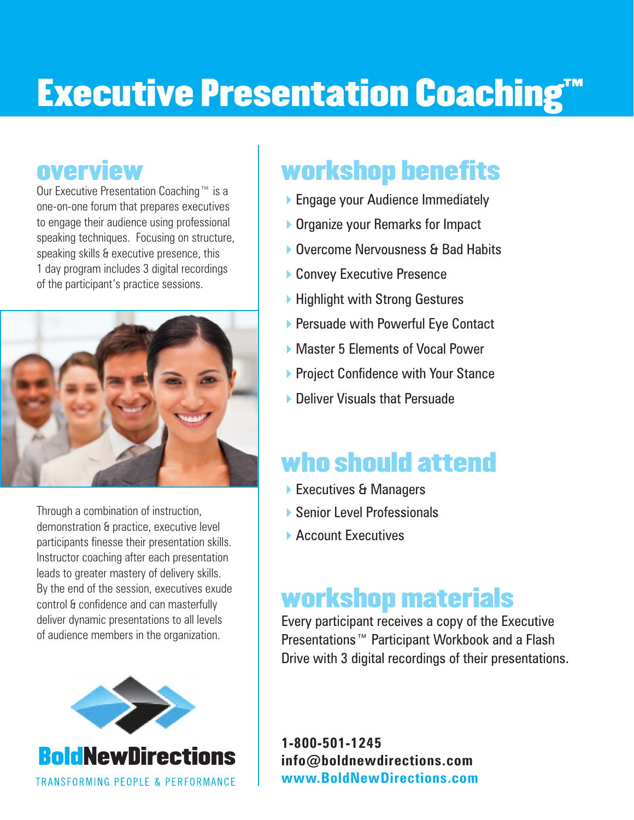# **Executive Presentation Coaching™**

### overview

Our Executive Presentation Coaching™ is a one-on-one forum that prepares executives to engage their audience using professional speaking techniques. Focusing on structure, speaking skills & executive presence, this 1 day program includes 3 digital recordings of the participant's practice sessions.



Through a combination of instruction, demonstration & practice, executive level participants finesse their presentation skills. Instructor coaching after each presentation leads to greater mastery of delivery skills. By the end of the session, executives exude control & confidence and can masterfully deliver dynamic presentations to all levels of audience members in the organization.



## workshop benefits

- ▶ Engage your Audience Immediately
- ▶ Organize your Remarks for Impact
- ▶ Overcome Nervousness & Bad Habits
- ▶ Convey Executive Presence
- ▶ Highlight with Strong Gestures
- ▶ Persuade with Powerful Eye Contact
- ▶ Master 5 Flements of Vocal Power
- **Project Confidence with Your Stance**
- ▶ Deliver Visuals that Persuade

## who should attend

- ▶ Executives & Managers
- ▶ Senior Level Professionals
- ▶ Account Executives

## workshop materials

Every participant receives a copy of the Executive Presentations™ Participant Workbook and a Flash Drive with 3 digital recordings of their presentations.

**1-800-501-1245 info@boldnewdirections.com www.BoldNewDirections.com**